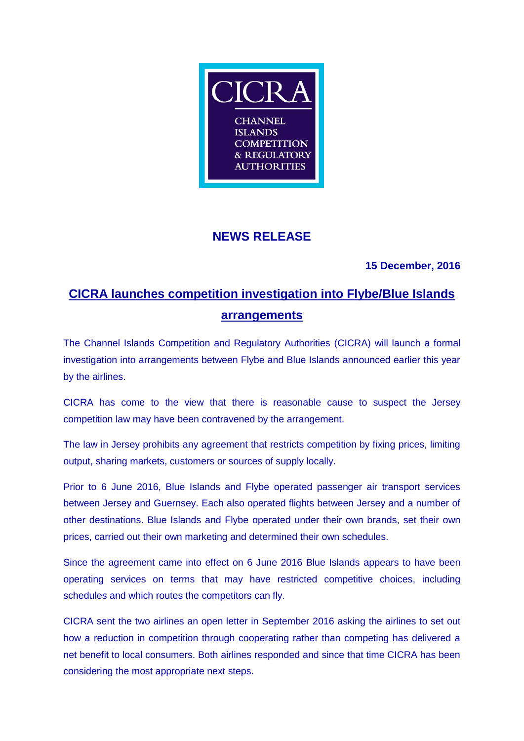

## **NEWS RELEASE**

### **15 December, 2016**

# **CICRA launches competition investigation into Flybe/Blue Islands arrangements**

The Channel Islands Competition and Regulatory Authorities (CICRA) will launch a formal investigation into arrangements between Flybe and Blue Islands announced earlier this year by the airlines.

CICRA has come to the view that there is reasonable cause to suspect the Jersey competition law may have been contravened by the arrangement.

The law in Jersey prohibits any agreement that restricts competition by fixing prices, limiting output, sharing markets, customers or sources of supply locally.

Prior to 6 June 2016, Blue Islands and Flybe operated passenger air transport services between Jersey and Guernsey. Each also operated flights between Jersey and a number of other destinations. Blue Islands and Flybe operated under their own brands, set their own prices, carried out their own marketing and determined their own schedules.

Since the agreement came into effect on 6 June 2016 Blue Islands appears to have been operating services on terms that may have restricted competitive choices, including schedules and which routes the competitors can fly.

CICRA sent the two airlines an open letter in September 2016 asking the airlines to set out how a reduction in competition through cooperating rather than competing has delivered a net benefit to local consumers. Both airlines responded and since that time CICRA has been considering the most appropriate next steps.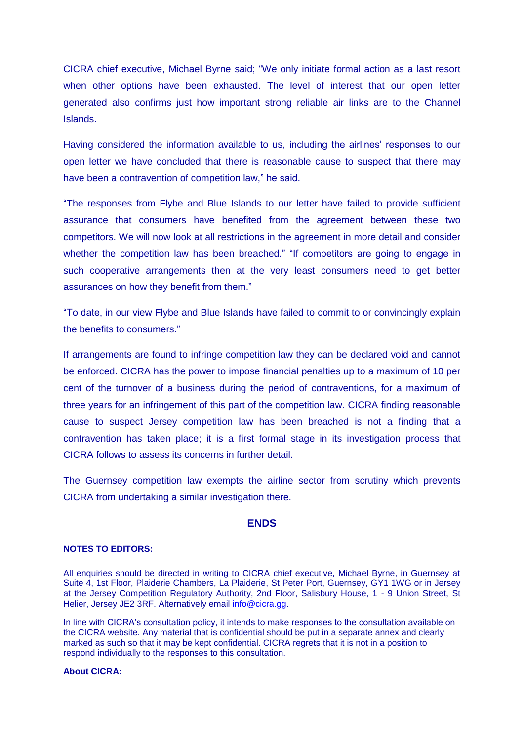CICRA chief executive, Michael Byrne said; "We only initiate formal action as a last resort when other options have been exhausted. The level of interest that our open letter generated also confirms just how important strong reliable air links are to the Channel Islands.

Having considered the information available to us, including the airlines' responses to our open letter we have concluded that there is reasonable cause to suspect that there may have been a contravention of competition law," he said.

"The responses from Flybe and Blue Islands to our letter have failed to provide sufficient assurance that consumers have benefited from the agreement between these two competitors. We will now look at all restrictions in the agreement in more detail and consider whether the competition law has been breached." "If competitors are going to engage in such cooperative arrangements then at the very least consumers need to get better assurances on how they benefit from them."

"To date, in our view Flybe and Blue Islands have failed to commit to or convincingly explain the benefits to consumers."

If arrangements are found to infringe competition law they can be declared void and cannot be enforced. CICRA has the power to impose financial penalties up to a maximum of 10 per cent of the turnover of a business during the period of contraventions, for a maximum of three years for an infringement of this part of the competition law. CICRA finding reasonable cause to suspect Jersey competition law has been breached is not a finding that a contravention has taken place; it is a first formal stage in its investigation process that CICRA follows to assess its concerns in further detail.

The Guernsey competition law exempts the airline sector from scrutiny which prevents CICRA from undertaking a similar investigation there.

#### **ENDS**

#### **NOTES TO EDITORS:**

All enquiries should be directed in writing to CICRA chief executive, Michael Byrne, in Guernsey at Suite 4, 1st Floor, Plaiderie Chambers, La Plaiderie, St Peter Port, Guernsey, GY1 1WG or in Jersey at the Jersey Competition Regulatory Authority, 2nd Floor, Salisbury House, 1 - 9 Union Street, St Helier, Jersey JE2 3RF. Alternatively email [info@cicra.gg.](mailto:info@cicra.gg)

In line with CICRA's consultation policy, it intends to make responses to the consultation available on the CICRA website. Any material that is confidential should be put in a separate annex and clearly marked as such so that it may be kept confidential. CICRA regrets that it is not in a position to respond individually to the responses to this consultation.

#### **About CICRA:**